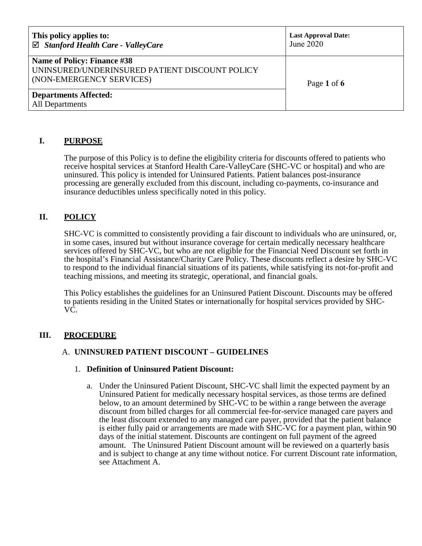| This policy applies to:<br>$\boxtimes$ Stanford Health Care - ValleyCare                                  | <b>Last Approval Date:</b><br>June 2020 |
|-----------------------------------------------------------------------------------------------------------|-----------------------------------------|
| Name of Policy: Finance #38<br>UNINSURED/UNDERINSURED PATIENT DISCOUNT POLICY<br>(NON-EMERGENCY SERVICES) | Page 1 of 6                             |
| <b>Departments Affected:</b><br>All Departments                                                           |                                         |

### **I. PURPOSE**

The purpose of this Policy is to define the eligibility criteria for discounts offered to patients who receive hospital services at Stanford Health Care-ValleyCare (SHC-VC or hospital) and who are uninsured. This policy is intended for Uninsured Patients. Patient balances post-insurance processing are generally excluded from this discount, including co-payments, co-insurance and insurance deductibles unless specifically noted in this policy.

### **II. POLICY**

SHC-VC is committed to consistently providing a fair discount to individuals who are uninsured, or, in some cases, insured but without insurance coverage for certain medically necessary healthcare services offered by SHC-VC, but who are not eligible for the Financial Need Discount set forth in the hospital's Financial Assistance/Charity Care Policy. These discounts reflect a desire by SHC-VC to respond to the individual financial situations of its patients, while satisfying its not-for-profit and teaching missions, and meeting its strategic, operational, and financial goals.

This Policy establishes the guidelines for an Uninsured Patient Discount. Discounts may be offered to patients residing in the United States or internationally for hospital services provided by SHC-VC.

### **III. PROCEDURE**

### A. **UNINSURED PATIENT DISCOUNT – GUIDELINES**

#### 1. **Definition of Uninsured Patient Discount:**

a. Under the Uninsured Patient Discount, SHC-VC shall limit the expected payment by an Uninsured Patient for medically necessary hospital services, as those terms are defined below, to an amount determined by SHC-VC to be within a range between the average discount from billed charges for all commercial fee-for-service managed care payers and the least discount extended to any managed care payer, provided that the patient balance is either fully paid or arrangements are made with SHC-VC for a payment plan, within 90 days of the initial statement. Discounts are contingent on full payment of the agreed amount. The Uninsured Patient Discount amount will be reviewed on a quarterly basis and is subject to change at any time without notice. For current Discount rate information, see Attachment A.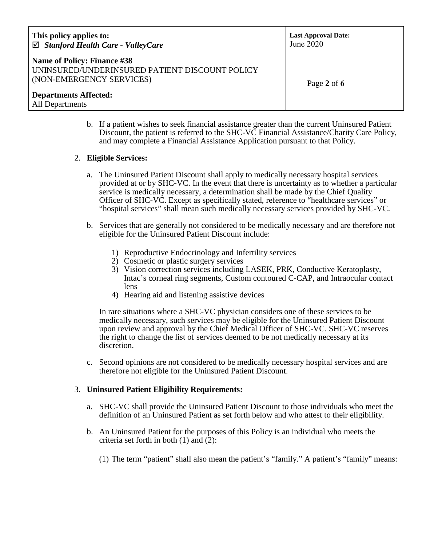| This policy applies to:<br>$\boxtimes$ Stanford Health Care - ValleyCare                                         | <b>Last Approval Date:</b><br>June 2020 |
|------------------------------------------------------------------------------------------------------------------|-----------------------------------------|
| <b>Name of Policy: Finance #38</b><br>UNINSURED/UNDERINSURED PATIENT DISCOUNT POLICY<br>(NON-EMERGENCY SERVICES) | Page 2 of $6$                           |
| <b>Departments Affected:</b><br>All Departments                                                                  |                                         |

b. If a patient wishes to seek financial assistance greater than the current Uninsured Patient Discount, the patient is referred to the SHC-VC Financial Assistance/Charity Care Policy, and may complete a Financial Assistance Application pursuant to that Policy.

### 2. **Eligible Services:**

- a. The Uninsured Patient Discount shall apply to medically necessary hospital services provided at or by SHC-VC. In the event that there is uncertainty as to whether a particular service is medically necessary, a determination shall be made by the Chief Quality Officer of SHC-VC. Except as specifically stated, reference to "healthcare services" or "hospital services" shall mean such medically necessary services provided by SHC-VC.
- b. Services that are generally not considered to be medically necessary and are therefore not eligible for the Uninsured Patient Discount include:
	- 1) Reproductive Endocrinology and Infertility services
	- 2) Cosmetic or plastic surgery services
	- 3) Vision correction services including LASEK, PRK, Conductive Keratoplasty, Intac's corneal ring segments, Custom contoured C-CAP, and Intraocular contact lens
	- 4) Hearing aid and listening assistive devices

In rare situations where a SHC-VC physician considers one of these services to be medically necessary, such services may be eligible for the Uninsured Patient Discount upon review and approval by the Chief Medical Officer of SHC-VC. SHC-VC reserves the right to change the list of services deemed to be not medically necessary at its discretion.

c. Second opinions are not considered to be medically necessary hospital services and are therefore not eligible for the Uninsured Patient Discount.

### 3. **Uninsured Patient Eligibility Requirements:**

- a. SHC-VC shall provide the Uninsured Patient Discount to those individuals who meet the definition of an Uninsured Patient as set forth below and who attest to their eligibility.
- b. An Uninsured Patient for the purposes of this Policy is an individual who meets the criteria set forth in both  $(1)$  and  $(2)$ :
	- (1) The term "patient" shall also mean the patient's "family." A patient's "family" means: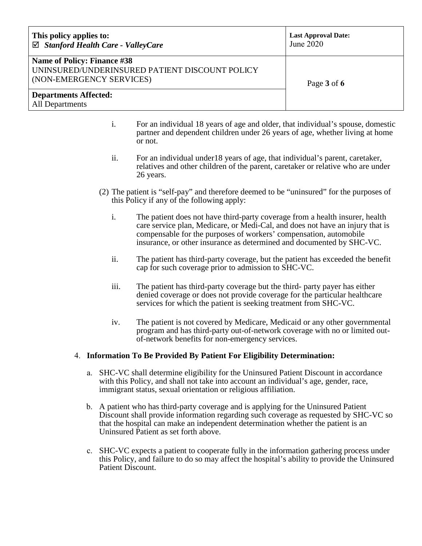| This policy applies to:<br>$\boxtimes$ Stanford Health Care - ValleyCare                                  | <b>Last Approval Date:</b><br>June 2020 |
|-----------------------------------------------------------------------------------------------------------|-----------------------------------------|
| Name of Policy: Finance #38<br>UNINSURED/UNDERINSURED PATIENT DISCOUNT POLICY<br>(NON-EMERGENCY SERVICES) | Page 3 of 6                             |
| <b>Departments Affected:</b><br><b>All Departments</b>                                                    |                                         |

- i. For an individual 18 years of age and older, that individual's spouse, domestic partner and dependent children under 26 years of age, whether living at home or not.
- ii. For an individual under18 years of age, that individual's parent, caretaker, relatives and other children of the parent, caretaker or relative who are under 26 years.
- (2) The patient is "self-pay" and therefore deemed to be "uninsured" for the purposes of this Policy if any of the following apply:
	- i. The patient does not have third-party coverage from a health insurer, health care service plan, Medicare, or Medi-Cal, and does not have an injury that is compensable for the purposes of workers' compensation, automobile insurance, or other insurance as determined and documented by SHC-VC.
	- ii. The patient has third-party coverage, but the patient has exceeded the benefit cap for such coverage prior to admission to SHC-VC.
	- iii. The patient has third-party coverage but the third- party payer has either denied coverage or does not provide coverage for the particular healthcare services for which the patient is seeking treatment from SHC-VC.
	- iv. The patient is not covered by Medicare, Medicaid or any other governmental program and has third-party out-of-network coverage with no or limited outof-network benefits for non-emergency services.

### 4. **Information To Be Provided By Patient For Eligibility Determination:**

- a. SHC-VC shall determine eligibility for the Uninsured Patient Discount in accordance with this Policy, and shall not take into account an individual's age, gender, race, immigrant status, sexual orientation or religious affiliation.
- b. A patient who has third-party coverage and is applying for the Uninsured Patient Discount shall provide information regarding such coverage as requested by SHC-VC so that the hospital can make an independent determination whether the patient is an Uninsured Patient as set forth above.
- c. SHC-VC expects a patient to cooperate fully in the information gathering process under this Policy, and failure to do so may affect the hospital's ability to provide the Uninsured Patient Discount.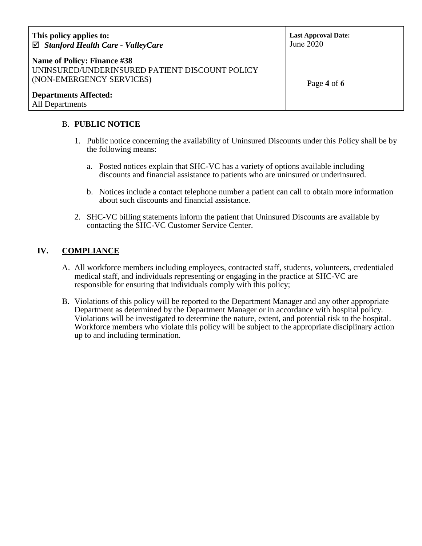| This policy applies to:<br>$\boxtimes$ Stanford Health Care - ValleyCare                                         | <b>Last Approval Date:</b><br>June 2020 |
|------------------------------------------------------------------------------------------------------------------|-----------------------------------------|
| <b>Name of Policy: Finance #38</b><br>UNINSURED/UNDERINSURED PATIENT DISCOUNT POLICY<br>(NON-EMERGENCY SERVICES) | Page 4 of 6                             |
| <b>Departments Affected:</b><br>All Departments                                                                  |                                         |

### B. **PUBLIC NOTICE**

- 1. Public notice concerning the availability of Uninsured Discounts under this Policy shall be by the following means:
	- a. Posted notices explain that SHC-VC has a variety of options available including discounts and financial assistance to patients who are uninsured or underinsured.
	- b. Notices include a contact telephone number a patient can call to obtain more information about such discounts and financial assistance.
- 2. SHC-VC billing statements inform the patient that Uninsured Discounts are available by contacting the SHC-VC Customer Service Center.

# **IV. COMPLIANCE**

- A. All workforce members including employees, contracted staff, students, volunteers, credentialed medical staff, and individuals representing or engaging in the practice at SHC-VC are responsible for ensuring that individuals comply with this policy;
- B. Violations of this policy will be reported to the Department Manager and any other appropriate Department as determined by the Department Manager or in accordance with hospital policy. Violations will be investigated to determine the nature, extent, and potential risk to the hospital. Workforce members who violate this policy will be subject to the appropriate disciplinary action up to and including termination.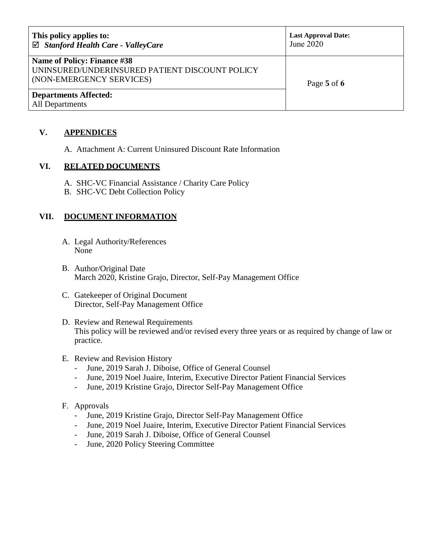| This policy applies to:<br>$\boxtimes$ Stanford Health Care - ValleyCare                                  | <b>Last Approval Date:</b><br>June 2020 |
|-----------------------------------------------------------------------------------------------------------|-----------------------------------------|
| Name of Policy: Finance #38<br>UNINSURED/UNDERINSURED PATIENT DISCOUNT POLICY<br>(NON-EMERGENCY SERVICES) | Page 5 of 6                             |
| <b>Departments Affected:</b><br>All Departments                                                           |                                         |

# **V. APPENDICES**

A. Attachment A: Current Uninsured Discount Rate Information

### **VI. RELATED DOCUMENTS**

- A. SHC-VC Financial Assistance / Charity Care Policy
- B. SHC-VC Debt Collection Policy

# **VII. DOCUMENT INFORMATION**

- A. Legal Authority/References None
- B. Author/Original Date March 2020, Kristine Grajo, Director, Self-Pay Management Office
- C. Gatekeeper of Original Document Director, Self-Pay Management Office
- D. Review and Renewal Requirements This policy will be reviewed and/or revised every three years or as required by change of law or practice.

### E. Review and Revision History

- June, 2019 Sarah J. Diboise, Office of General Counsel
- June, 2019 Noel Juaire, Interim, Executive Director Patient Financial Services
- June, 2019 Kristine Grajo, Director Self-Pay Management Office

### F. Approvals

- June, 2019 Kristine Grajo, Director Self-Pay Management Office
- June, 2019 Noel Juaire, Interim, Executive Director Patient Financial Services
- June, 2019 Sarah J. Diboise, Office of General Counsel
- June, 2020 Policy Steering Committee